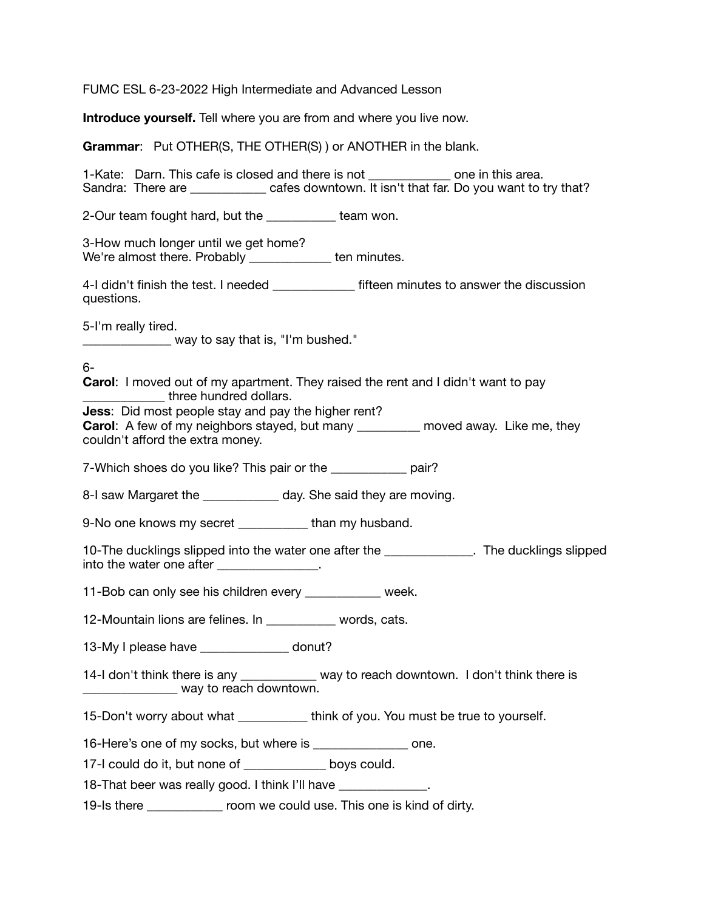FUMC ESL 6-23-2022 High Intermediate and Advanced Lesson

**Introduce yourself.** Tell where you are from and where you live now.

**Grammar**: Put OTHER(S, THE OTHER(S) ) or ANOTHER in the blank.

1-Kate: Darn. This cafe is closed and there is not \_\_\_\_\_\_\_\_\_\_\_\_\_ one in this area. Sandra: There are \_\_\_\_\_\_\_\_\_\_\_\_\_ cafes downtown. It isn't that far. Do you want to try that?

2-Our team fought hard, but the team won.

3-How much longer until we get home? We're almost there. Probably \_\_\_\_\_\_\_\_\_\_\_\_\_ ten minutes.

4-I didn't finish the test. I needed **the set of the set of the finish that the discussion** questions.

5-I'm really tired.

\_\_\_\_\_\_\_\_\_\_\_\_\_\_ way to say that is, "I'm bushed."

## 6-

**Carol**: I moved out of my apartment. They raised the rent and I didn't want to pay **Example 2** three hundred dollars.

**Jess**: Did most people stay and pay the higher rent?

**Carol:** A few of my neighbors stayed, but many **example 20** moved away. Like me, they couldn't afford the extra money.

7-Which shoes do you like? This pair or the pair?

8-I saw Margaret the \_\_\_\_\_\_\_\_\_\_\_ day. She said they are moving.

9-No one knows my secret \_\_\_\_\_\_\_\_\_\_\_ than my husband.

10-The ducklings slipped into the water one after the \_\_\_\_\_\_\_\_\_\_\_\_\_\_. The ducklings slipped into the water one after **the set of the water** one after

11-Bob can only see his children every \_\_\_\_\_\_\_\_\_\_\_\_ week.

12-Mountain lions are felines. In \_\_\_\_\_\_\_\_\_\_\_ words, cats.

13-My I please have \_\_\_\_\_\_\_\_\_\_\_\_\_\_ donut?

14-I don't think there is any \_\_\_\_\_\_\_\_\_\_\_\_ way to reach downtown. I don't think there is way to reach downtown.

15-Don't worry about what think of you. You must be true to yourself.

16-Here's one of my socks, but where is \_\_\_\_\_\_\_\_\_\_\_\_\_\_\_ one.

17-I could do it, but none of boys could.

18-That beer was really good. I think I'll have

19-Is there \_\_\_\_\_\_\_\_\_\_\_\_ room we could use. This one is kind of dirty.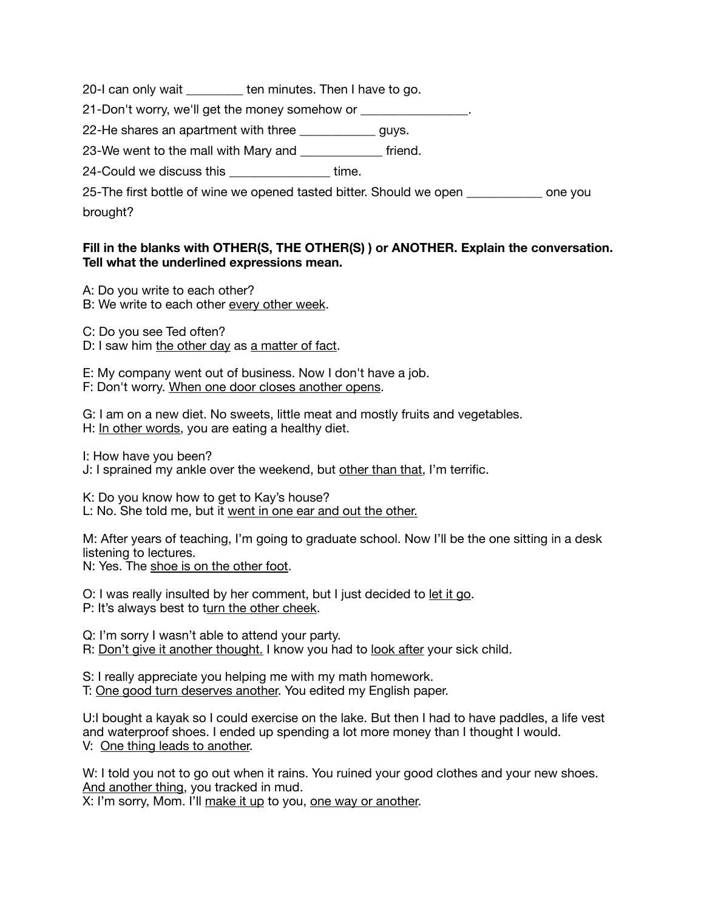20-I can only wait \_\_\_\_\_\_\_\_\_ ten minutes. Then I have to go.

21-Don't worry, we'll get the money somehow or \_\_\_\_\_\_\_\_\_\_\_\_\_\_\_.

22-He shares an apartment with three \_\_\_\_\_\_\_\_\_\_\_\_ guys.

23-We went to the mall with Mary and \_\_\_\_\_\_\_\_\_\_\_\_\_ friend.

24-Could we discuss this \_\_\_\_\_\_\_\_\_\_\_\_\_\_\_\_ time.

25-The first bottle of wine we opened tasted bitter. Should we open one you brought?

## **Fill in the blanks with OTHER(S, THE OTHER(S) ) or ANOTHER. Explain the conversation. Tell what the underlined expressions mean.**

A: Do you write to each other?

B: We write to each other every other week.

C: Do you see Ted often?

D: I saw him the other day as a matter of fact.

E: My company went out of business. Now I don't have a job. F: Don't worry. When one door closes another opens.

G: I am on a new diet. No sweets, little meat and mostly fruits and vegetables. H: In other words, you are eating a healthy diet.

I: How have you been? J: I sprained my ankle over the weekend, but other than that, I'm terrific.

K: Do you know how to get to Kay's house? L: No. She told me, but it went in one ear and out the other.

M: After years of teaching, I'm going to graduate school. Now I'll be the one sitting in a desk listening to lectures.

N: Yes. The shoe is on the other foot.

O: I was really insulted by her comment, but I just decided to let it go.

P: It's always best to turn the other cheek.

Q: I'm sorry I wasn't able to attend your party.

R: Don't give it another thought. I know you had to look after your sick child.

S: I really appreciate you helping me with my math homework.

T: One good turn deserves another. You edited my English paper.

U:I bought a kayak so I could exercise on the lake. But then I had to have paddles, a life vest and waterproof shoes. I ended up spending a lot more money than I thought I would. V: One thing leads to another.

W: I told you not to go out when it rains. You ruined your good clothes and your new shoes. And another thing, you tracked in mud.

X: I'm sorry, Mom. I'll make it up to you, one way or another.